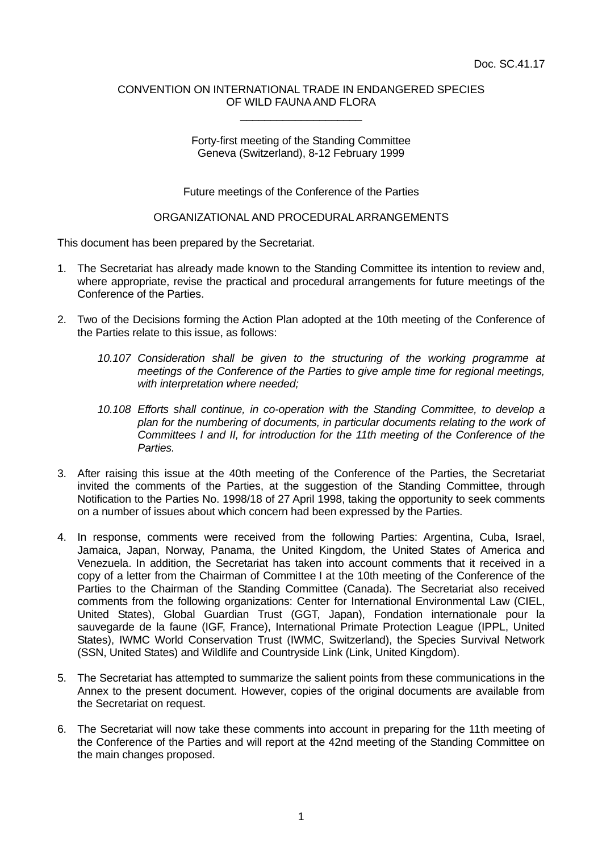#### CONVENTION ON INTERNATIONAL TRADE IN ENDANGERED SPECIES OF WILD FAUNA AND FLORA \_\_\_\_\_\_\_\_\_\_\_\_\_\_\_\_\_\_\_\_

## Forty-first meeting of the Standing Committee Geneva (Switzerland), 8-12 February 1999

Future meetings of the Conference of the Parties

# ORGANIZATIONAL AND PROCEDURAL ARRANGEMENTS

This document has been prepared by the Secretariat.

- 1. The Secretariat has already made known to the Standing Committee its intention to review and, where appropriate, revise the practical and procedural arrangements for future meetings of the Conference of the Parties.
- 2. Two of the Decisions forming the Action Plan adopted at the 10th meeting of the Conference of the Parties relate to this issue, as follows:
	- *10.107 Consideration shall be given to the structuring of the working programme at meetings of the Conference of the Parties to give ample time for regional meetings, with interpretation where needed;*
	- *10.108 Efforts shall continue, in co-operation with the Standing Committee, to develop a plan for the numbering of documents, in particular documents relating to the work of Committees I and II, for introduction for the 11th meeting of the Conference of the Parties.*
- 3. After raising this issue at the 40th meeting of the Conference of the Parties, the Secretariat invited the comments of the Parties, at the suggestion of the Standing Committee, through Notification to the Parties No. 1998/18 of 27 April 1998, taking the opportunity to seek comments on a number of issues about which concern had been expressed by the Parties.
- 4. In response, comments were received from the following Parties: Argentina, Cuba, Israel, Jamaica, Japan, Norway, Panama, the United Kingdom, the United States of America and Venezuela. In addition, the Secretariat has taken into account comments that it received in a copy of a letter from the Chairman of Committee I at the 10th meeting of the Conference of the Parties to the Chairman of the Standing Committee (Canada). The Secretariat also received comments from the following organizations: Center for International Environmental Law (CIEL, United States), Global Guardian Trust (GGT, Japan), Fondation internationale pour la sauvegarde de la faune (IGF, France), International Primate Protection League (IPPL, United States), IWMC World Conservation Trust (IWMC, Switzerland), the Species Survival Network (SSN, United States) and Wildlife and Countryside Link (Link, United Kingdom).
- 5. The Secretariat has attempted to summarize the salient points from these communications in the Annex to the present document. However, copies of the original documents are available from the Secretariat on request.
- 6. The Secretariat will now take these comments into account in preparing for the 11th meeting of the Conference of the Parties and will report at the 42nd meeting of the Standing Committee on the main changes proposed.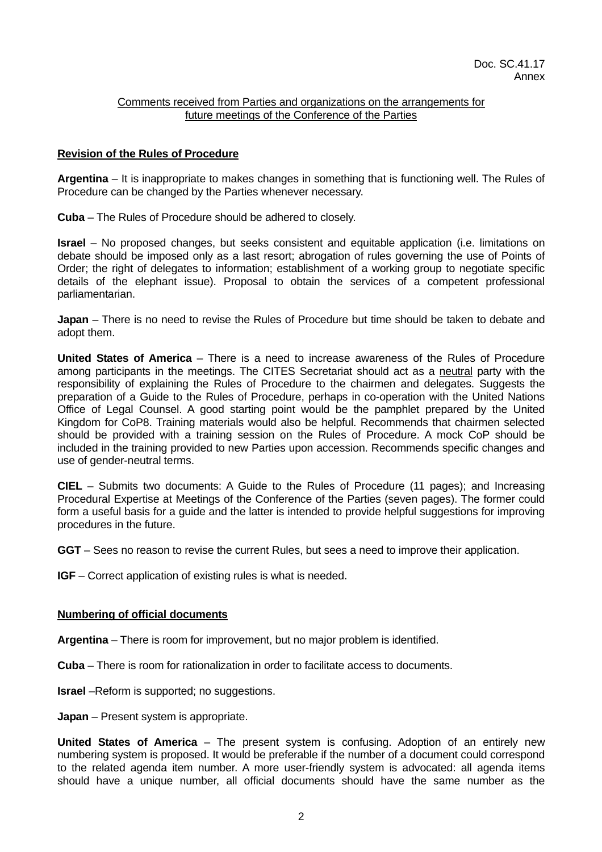## Comments received from Parties and organizations on the arrangements for future meetings of the Conference of the Parties

## **Revision of the Rules of Procedure**

**Argentina** – It is inappropriate to makes changes in something that is functioning well. The Rules of Procedure can be changed by the Parties whenever necessary.

**Cuba** – The Rules of Procedure should be adhered to closely.

**Israel** – No proposed changes, but seeks consistent and equitable application (i.e. limitations on debate should be imposed only as a last resort; abrogation of rules governing the use of Points of Order; the right of delegates to information; establishment of a working group to negotiate specific details of the elephant issue). Proposal to obtain the services of a competent professional parliamentarian.

**Japan** – There is no need to revise the Rules of Procedure but time should be taken to debate and adopt them.

**United States of America** – There is a need to increase awareness of the Rules of Procedure among participants in the meetings. The CITES Secretariat should act as a neutral party with the responsibility of explaining the Rules of Procedure to the chairmen and delegates. Suggests the preparation of a Guide to the Rules of Procedure, perhaps in co-operation with the United Nations Office of Legal Counsel. A good starting point would be the pamphlet prepared by the United Kingdom for CoP8. Training materials would also be helpful. Recommends that chairmen selected should be provided with a training session on the Rules of Procedure. A mock CoP should be included in the training provided to new Parties upon accession. Recommends specific changes and use of gender-neutral terms.

**CIEL** – Submits two documents: A Guide to the Rules of Procedure (11 pages); and Increasing Procedural Expertise at Meetings of the Conference of the Parties (seven pages). The former could form a useful basis for a guide and the latter is intended to provide helpful suggestions for improving procedures in the future.

**GGT** – Sees no reason to revise the current Rules, but sees a need to improve their application.

**IGF** – Correct application of existing rules is what is needed.

#### **Numbering of official documents**

**Argentina** – There is room for improvement, but no major problem is identified.

**Cuba** – There is room for rationalization in order to facilitate access to documents.

**Israel** –Reform is supported; no suggestions.

**Japan** – Present system is appropriate.

**United States of America** – The present system is confusing. Adoption of an entirely new numbering system is proposed. It would be preferable if the number of a document could correspond to the related agenda item number. A more user-friendly system is advocated: all agenda items should have a unique number, all official documents should have the same number as the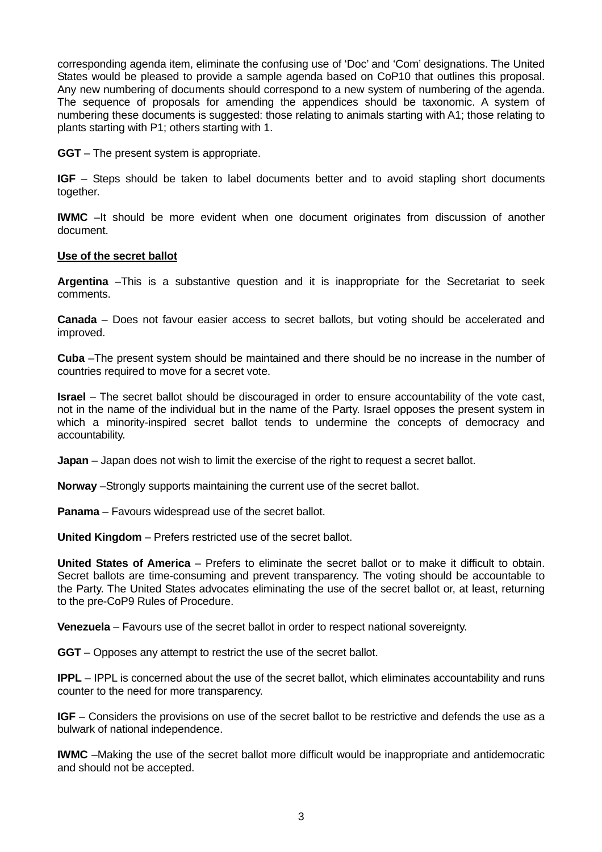corresponding agenda item, eliminate the confusing use of 'Doc' and 'Com' designations. The United States would be pleased to provide a sample agenda based on CoP10 that outlines this proposal. Any new numbering of documents should correspond to a new system of numbering of the agenda. The sequence of proposals for amending the appendices should be taxonomic. A system of numbering these documents is suggested: those relating to animals starting with A1; those relating to plants starting with P1; others starting with 1.

**GGT** – The present system is appropriate.

**IGF** – Steps should be taken to label documents better and to avoid stapling short documents together.

**IWMC** –It should be more evident when one document originates from discussion of another document.

## **Use of the secret ballot**

**Argentina** –This is a substantive question and it is inappropriate for the Secretariat to seek comments.

**Canada** – Does not favour easier access to secret ballots, but voting should be accelerated and improved.

**Cuba** –The present system should be maintained and there should be no increase in the number of countries required to move for a secret vote.

**Israel** – The secret ballot should be discouraged in order to ensure accountability of the vote cast, not in the name of the individual but in the name of the Party. Israel opposes the present system in which a minority-inspired secret ballot tends to undermine the concepts of democracy and accountability.

**Japan** – Japan does not wish to limit the exercise of the right to request a secret ballot.

**Norway** –Strongly supports maintaining the current use of the secret ballot.

**Panama** – Favours widespread use of the secret ballot.

**United Kingdom** – Prefers restricted use of the secret ballot.

**United States of America** – Prefers to eliminate the secret ballot or to make it difficult to obtain. Secret ballots are time-consuming and prevent transparency. The voting should be accountable to the Party. The United States advocates eliminating the use of the secret ballot or, at least, returning to the pre-CoP9 Rules of Procedure.

**Venezuela** – Favours use of the secret ballot in order to respect national sovereignty.

**GGT** – Opposes any attempt to restrict the use of the secret ballot.

**IPPL** – IPPL is concerned about the use of the secret ballot, which eliminates accountability and runs counter to the need for more transparency.

**IGF** – Considers the provisions on use of the secret ballot to be restrictive and defends the use as a bulwark of national independence.

**IWMC** –Making the use of the secret ballot more difficult would be inappropriate and antidemocratic and should not be accepted.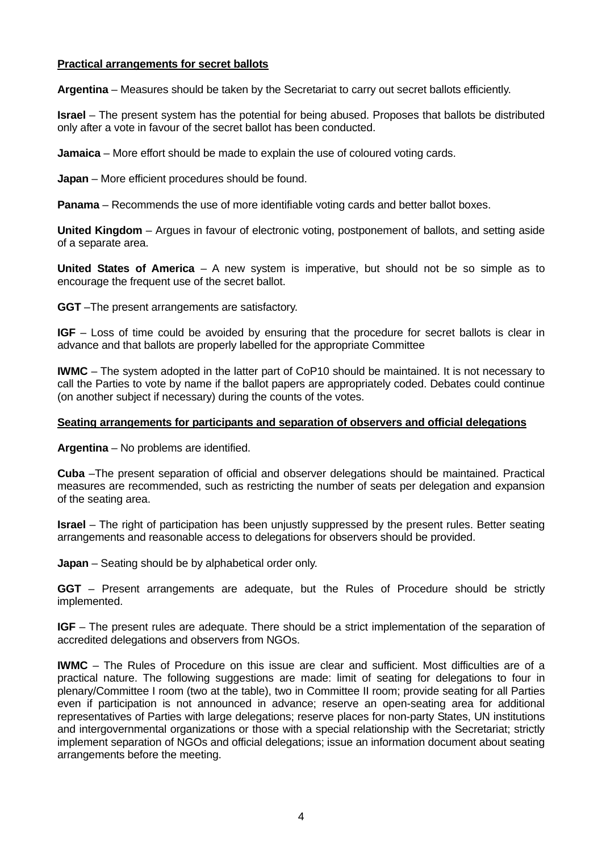## **Practical arrangements for secret ballots**

**Argentina** – Measures should be taken by the Secretariat to carry out secret ballots efficiently.

**Israel** – The present system has the potential for being abused. Proposes that ballots be distributed only after a vote in favour of the secret ballot has been conducted.

**Jamaica** – More effort should be made to explain the use of coloured voting cards.

**Japan** – More efficient procedures should be found.

**Panama** – Recommends the use of more identifiable voting cards and better ballot boxes.

**United Kingdom** – Argues in favour of electronic voting, postponement of ballots, and setting aside of a separate area.

**United States of America** – A new system is imperative, but should not be so simple as to encourage the frequent use of the secret ballot.

**GGT** –The present arrangements are satisfactory.

**IGF** – Loss of time could be avoided by ensuring that the procedure for secret ballots is clear in advance and that ballots are properly labelled for the appropriate Committee

**IWMC** – The system adopted in the latter part of CoP10 should be maintained. It is not necessary to call the Parties to vote by name if the ballot papers are appropriately coded. Debates could continue (on another subject if necessary) during the counts of the votes.

#### **Seating arrangements for participants and separation of observers and official delegations**

**Argentina** – No problems are identified.

**Cuba** –The present separation of official and observer delegations should be maintained. Practical measures are recommended, such as restricting the number of seats per delegation and expansion of the seating area.

**Israel** – The right of participation has been unjustly suppressed by the present rules. Better seating arrangements and reasonable access to delegations for observers should be provided.

**Japan** – Seating should be by alphabetical order only.

**GGT** – Present arrangements are adequate, but the Rules of Procedure should be strictly implemented.

**IGF** – The present rules are adequate. There should be a strict implementation of the separation of accredited delegations and observers from NGOs.

**IWMC** – The Rules of Procedure on this issue are clear and sufficient. Most difficulties are of a practical nature. The following suggestions are made: limit of seating for delegations to four in plenary/Committee I room (two at the table), two in Committee II room; provide seating for all Parties even if participation is not announced in advance; reserve an open-seating area for additional representatives of Parties with large delegations; reserve places for non-party States, UN institutions and intergovernmental organizations or those with a special relationship with the Secretariat; strictly implement separation of NGOs and official delegations; issue an information document about seating arrangements before the meeting.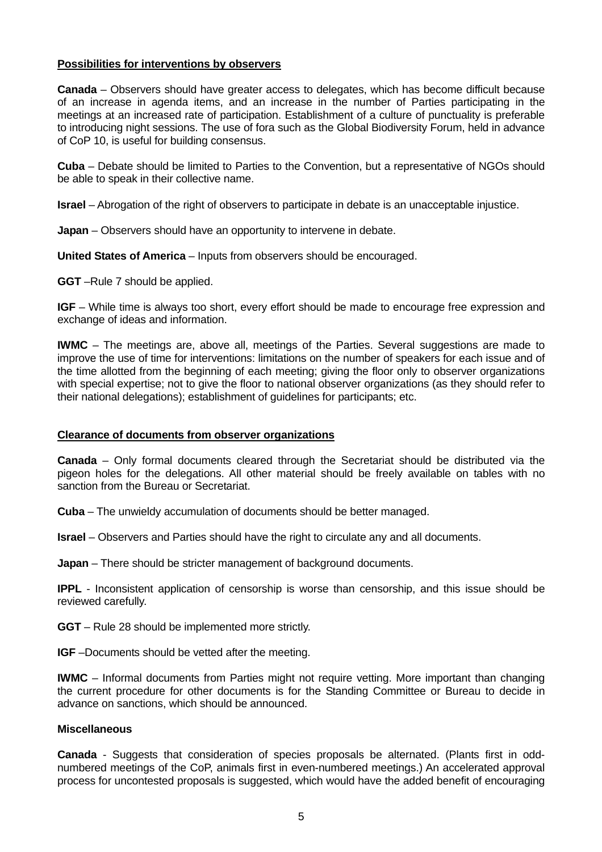## **Possibilities for interventions by observers**

**Canada** – Observers should have greater access to delegates, which has become difficult because of an increase in agenda items, and an increase in the number of Parties participating in the meetings at an increased rate of participation. Establishment of a culture of punctuality is preferable to introducing night sessions. The use of fora such as the Global Biodiversity Forum, held in advance of CoP 10, is useful for building consensus.

**Cuba** – Debate should be limited to Parties to the Convention, but a representative of NGOs should be able to speak in their collective name.

**Israel** – Abrogation of the right of observers to participate in debate is an unacceptable injustice.

**Japan** – Observers should have an opportunity to intervene in debate.

**United States of America** – Inputs from observers should be encouraged.

**GGT** –Rule 7 should be applied.

**IGF** – While time is always too short, every effort should be made to encourage free expression and exchange of ideas and information.

**IWMC** – The meetings are, above all, meetings of the Parties. Several suggestions are made to improve the use of time for interventions: limitations on the number of speakers for each issue and of the time allotted from the beginning of each meeting; giving the floor only to observer organizations with special expertise; not to give the floor to national observer organizations (as they should refer to their national delegations); establishment of guidelines for participants; etc.

# **Clearance of documents from observer organizations**

**Canada** – Only formal documents cleared through the Secretariat should be distributed via the pigeon holes for the delegations. All other material should be freely available on tables with no sanction from the Bureau or Secretariat.

**Cuba** – The unwieldy accumulation of documents should be better managed.

**Israel** – Observers and Parties should have the right to circulate any and all documents.

**Japan** – There should be stricter management of background documents.

**IPPL** - Inconsistent application of censorship is worse than censorship, and this issue should be reviewed carefully.

**GGT** – Rule 28 should be implemented more strictly.

**IGF** –Documents should be vetted after the meeting.

**IWMC** – Informal documents from Parties might not require vetting. More important than changing the current procedure for other documents is for the Standing Committee or Bureau to decide in advance on sanctions, which should be announced.

#### **Miscellaneous**

**Canada** - Suggests that consideration of species proposals be alternated. (Plants first in oddnumbered meetings of the CoP, animals first in even-numbered meetings.) An accelerated approval process for uncontested proposals is suggested, which would have the added benefit of encouraging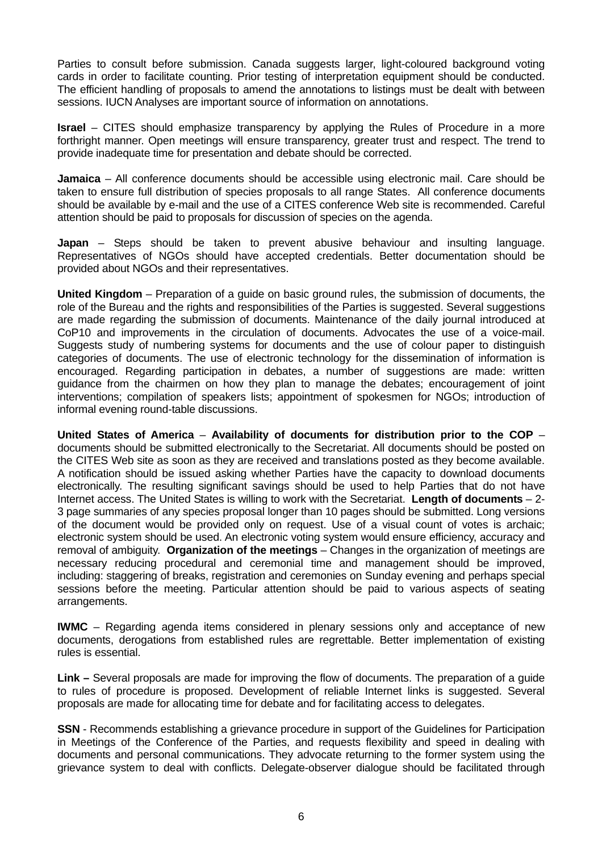Parties to consult before submission. Canada suggests larger, light-coloured background voting cards in order to facilitate counting. Prior testing of interpretation equipment should be conducted. The efficient handling of proposals to amend the annotations to listings must be dealt with between sessions. IUCN Analyses are important source of information on annotations.

**Israel** – CITES should emphasize transparency by applying the Rules of Procedure in a more forthright manner. Open meetings will ensure transparency, greater trust and respect. The trend to provide inadequate time for presentation and debate should be corrected.

**Jamaica** – All conference documents should be accessible using electronic mail. Care should be taken to ensure full distribution of species proposals to all range States. All conference documents should be available by e-mail and the use of a CITES conference Web site is recommended. Careful attention should be paid to proposals for discussion of species on the agenda.

**Japan** – Steps should be taken to prevent abusive behaviour and insulting language. Representatives of NGOs should have accepted credentials. Better documentation should be provided about NGOs and their representatives.

**United Kingdom** – Preparation of a guide on basic ground rules, the submission of documents, the role of the Bureau and the rights and responsibilities of the Parties is suggested. Several suggestions are made regarding the submission of documents. Maintenance of the daily journal introduced at CoP10 and improvements in the circulation of documents. Advocates the use of a voice-mail. Suggests study of numbering systems for documents and the use of colour paper to distinguish categories of documents. The use of electronic technology for the dissemination of information is encouraged. Regarding participation in debates, a number of suggestions are made: written guidance from the chairmen on how they plan to manage the debates; encouragement of joint interventions; compilation of speakers lists; appointment of spokesmen for NGOs; introduction of informal evening round-table discussions.

**United States of America** – **Availability of documents for distribution prior to the COP** – documents should be submitted electronically to the Secretariat. All documents should be posted on the CITES Web site as soon as they are received and translations posted as they become available. A notification should be issued asking whether Parties have the capacity to download documents electronically. The resulting significant savings should be used to help Parties that do not have Internet access. The United States is willing to work with the Secretariat. **Length of documents** – 2- 3 page summaries of any species proposal longer than 10 pages should be submitted. Long versions of the document would be provided only on request. Use of a visual count of votes is archaic; electronic system should be used. An electronic voting system would ensure efficiency, accuracy and removal of ambiguity. **Organization of the meetings** – Changes in the organization of meetings are necessary reducing procedural and ceremonial time and management should be improved, including: staggering of breaks, registration and ceremonies on Sunday evening and perhaps special sessions before the meeting. Particular attention should be paid to various aspects of seating arrangements.

**IWMC** – Regarding agenda items considered in plenary sessions only and acceptance of new documents, derogations from established rules are regrettable. Better implementation of existing rules is essential.

**Link –** Several proposals are made for improving the flow of documents. The preparation of a guide to rules of procedure is proposed. Development of reliable Internet links is suggested. Several proposals are made for allocating time for debate and for facilitating access to delegates.

**SSN** - Recommends establishing a grievance procedure in support of the Guidelines for Participation in Meetings of the Conference of the Parties, and requests flexibility and speed in dealing with documents and personal communications. They advocate returning to the former system using the grievance system to deal with conflicts. Delegate-observer dialogue should be facilitated through